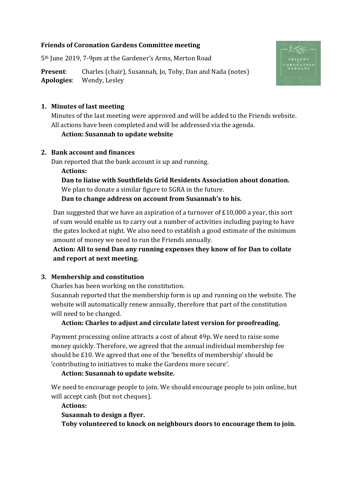### **Friends of Coronation Gardens Committee meeting**

5th June 2019, 7-9pm at the Gardener's Arms, Merton Road

**Present:** Charles (chair), Susannah, Jo, Toby, Dan and Nada (notes) **Apologies**: Wendy, Lesley



### **1. Minutes of last meeting**

Minutes of the last meeting were approved and will be added to the Friends website. All actions have been completed and will be addressed via the agenda.

### **Action: Susannah to update website**

#### **2. Bank account and finances**

Dan reported that the bank account is up and running.

**Actions: Dan to liaise with Southfields Grid Residents Association about donation.** We plan to donate a similar figure to SGRA in the future. **Dan to change address on account from Susannah's to his.**

Dan suggested that we have an aspiration of a turnover of £10,000 a year, this sort of sum would enable us to carry out a number of activities including paying to have the gates locked at night. We also need to establish a good estimate of the minimum amount of money we need to run the Friends annually.

**Action: All to send Dan any running expenses they know of for Dan to collate and report at next meeting.**

## **3. Membership and constitution**

Charles has been working on the constitution.

Susannah reported that the membership form is up and running on the website. The website will automatically renew annually, therefore that part of the constitution will need to be changed.

## **Action: Charles to adjust and circulate latest version for proofreading.**

Payment processing online attracts a cost of about 49p. We need to raise some money quickly. Therefore, we agreed that the annual individual membership fee should be £10. We agreed that one of the 'benefits of membership' should be 'contributing to initiatives to make the Gardens more secure'.

#### **Action: Susannah to update website.**

We need to encourage people to join. We should encourage people to join online, but will accept cash (but not cheques).

#### **Actions: Susannah to design a flyer.**

**Toby volunteered to knock on neighbours doors to encourage them to join.**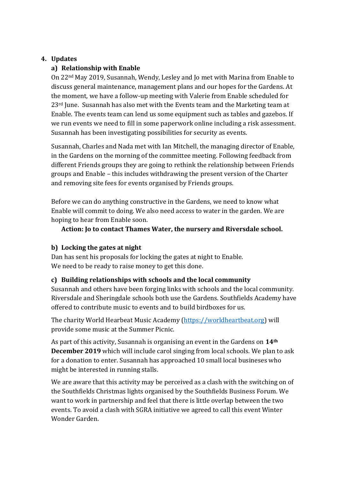## **4. Updates**

## **a) Relationship with Enable**

On 22nd May 2019, Susannah, Wendy, Lesley and Jo met with Marina from Enable to discuss general maintenance, management plans and our hopes for the Gardens. At the moment, we have a follow-up meeting with Valerie from Enable scheduled for 23rd June. Susannah has also met with the Events team and the Marketing team at Enable. The events team can lend us some equipment such as tables and gazebos. If we run events we need to fill in some paperwork online including a risk assessment. Susannah has been investigating possibilities for security as events.

Susannah, Charles and Nada met with Ian Mitchell, the managing director of Enable, in the Gardens on the morning of the committee meeting. Following feedback from different Friends groups they are going to rethink the relationship between Friends groups and Enable – this includes withdrawing the present version of the Charter and removing site fees for events organised by Friends groups.

Before we can do anything constructive in the Gardens, we need to know what Enable will commit to doing. We also need access to water in the garden. We are hoping to hear from Enable soon.

**Action: Jo to contact Thames Water, the nursery and Riversdale school.**

## **b) Locking the gates at night**

Dan has sent his proposals for locking the gates at night to Enable. We need to be ready to raise money to get this done.

## **c) Building relationships with schools and the local community**

Susannah and others have been forging links with schools and the local community. Riversdale and Sheringdale schools both use the Gardens. Southfields Academy have offered to contribute music to events and to build birdboxes for us.

The charity World Hearbeat Music Academy [\(https://worldheartbeat.org\)](https://worldheartbeat.org/) will provide some music at the Summer Picnic.

As part of this activity, Susannah is organising an event in the Gardens on **14th December 2019** which will include carol singing from local schools. We plan to ask for a donation to enter. Susannah has approached 10 small local busineses who might be interested in running stalls.

We are aware that this activity may be perceived as a clash with the switching on of the Southfields Christmas lights organised by the Southfields Business Forum. We want to work in partnership and feel that there is little overlap between the two events. To avoid a clash with SGRA initiative we agreed to call this event Winter Wonder Garden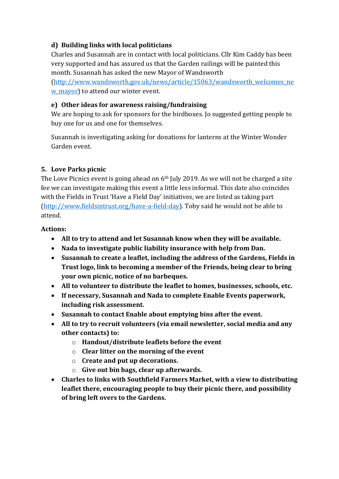## **d) Building links with local politicians**

Charles and Susannah are in contact with local politicians. Cllr Kim Caddy has been very supported and has assured us that the Garden railings will be painted this month. Susannah has asked the new Mayor of Wandsworth

[\(http://www.wandsworth.gov.uk/news/article/15063/wandsworth\\_welcomes\\_ne](http://www.wandsworth.gov.uk/news/article/15063/wandsworth_welcomes_new_mayor) w mayor) to attend our winter event.

## **e) Other ideas for awareness raising/fundraising**

We are hoping to ask for sponsors for the birdboxes. Jo suggested getting people to buy one for us and one for themselves.

Susannah is investigating asking for donations for lanterns at the Winter Wonder Garden event.

# **5. Love Parks picnic**

The Love Picnics event is going ahead on 6<sup>th</sup> July 2019. As we will not be charged a site fee we can investigate making this event a little less informal. This date also coincides with the Fields in Trust 'Have a Field Day' initiatives, we are listed as taking part [\(http://www.fieldsintrust.org/have-a-field-day\)](http://www.fieldsintrust.org/have-a-field-day). Toby said he would not be able to attend.

## **Actions:**

- **All to try to attend and let Susannah know when they will be available.**
- **Nada to investigate public liability insurance with help from Dan.**
- **Susannah to create a leaflet, including the address of the Gardens, Fields in Trust logo, link to becoming a member of the Friends, being clear to bring your own picnic, notice of no barbeques.**
- **All to volunteer to distribute the leaflet to homes, businesses, schools, etc.**
- **If necessary, Susannah and Nada to complete Enable Events paperwork, including risk assessment.**
- **Susannah to contact Enable about emptying bins after the event.**
- **All to try to recruit volunteers (via email newsletter, social media and any other contacts) to:**
	- o **Handout/distribute leaflets before the event**
	- o **Clear litter on the morning of the event**
	- o **Create and put up decorations.**
	- o **Give out bin bags, clear up afterwards.**
- **Charles to links with Southfield Farmers Market, with a view to distributing leaflet there, encouraging people to buy their picnic there, and possibility of bring left overs to the Gardens.**